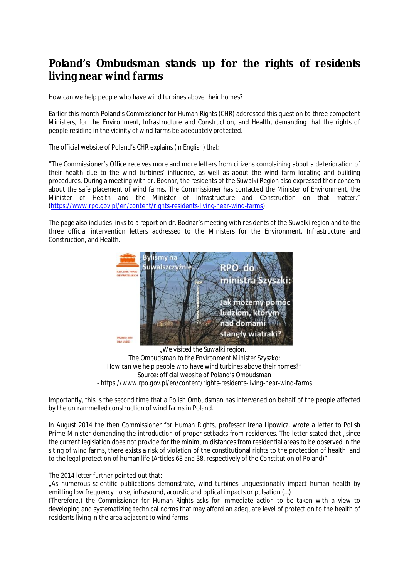## **Poland's Ombudsman stands up for the rights of residents living near wind farms**

How can we help people who have wind turbines above their homes?

Earlier this month Poland's Commissioner for Human Rights (CHR) addressed this question to three competent Ministers, for the Environment, Infrastructure and Construction, and Health, demanding that the rights of people residing in the vicinity of wind farms be adequately protected.

The official website of Poland's CHR explains (in English) that:

"The Commissioner's Office receives more and more letters from citizens complaining about a deterioration of their health due to the wind turbines' influence, as well as about the wind farm locating and building procedures. During a meeting with dr. Bodnar, the residents of the Suwałki Region also expressed their concern about the safe placement of wind farms. The Commissioner has contacted the Minister of Environment, the Minister of Health and the Minister of Infrastructure and Construction on that matter." (<https://www.rpo.gov.pl/en/content/rights-residents-living-near-wind-farms>).

The page also includes links to a report on dr. Bodnar's meeting with residents of the Suwalki region and to the three official intervention letters addressed to the Ministers for the Environment, Infrastructure and Construction, and Health.



*"We visited the Suwalki region… The Ombudsman to the Environment Minister Szyszko: How can we help people who have wind turbines above their homes?" Source: official website of Poland's Ombudsman - https://www.rpo.gov.pl/en/content/rights-residents-living-near-wind-farms* 

Importantly, this is the second time that a Polish Ombudsman has intervened on behalf of the people affected by the untrammelled construction of wind farms in Poland.

In August 2014 the then Commissioner for Human Rights, professor Irena Lipowicz, wrote a letter to Polish Prime Minister demanding the introduction of proper setbacks from residences. The letter stated that since the current legislation does not provide for the minimum distances from residential areas to be observed in the siting of wind farms, there exists a risk of violation of the constitutional rights to the protection of health and to the legal protection of human life (Articles 68 and 38, respectively of the Constitution of Poland)".

## The 2014 letter further pointed out that:

"As numerous scientific publications demonstrate, wind turbines unquestionably impact human health by emitting low frequency noise, infrasound, acoustic and optical impacts or pulsation (…)

(Therefore,) the Commissioner for Human Rights asks for immediate action to be taken with a view to developing and systematizing technical norms that may afford an adequate level of protection to the health of residents living in the area adjacent to wind farms.